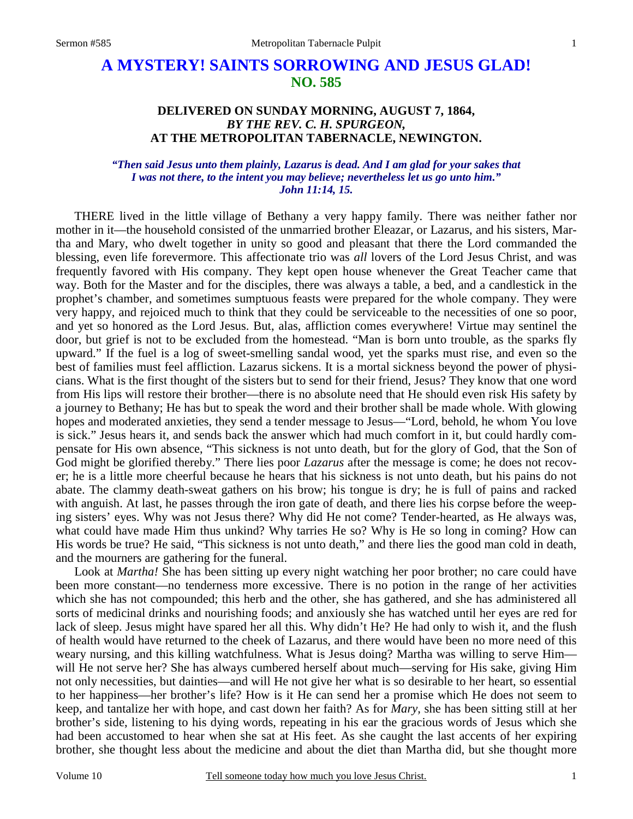# **A MYSTERY! SAINTS SORROWING AND JESUS GLAD! NO. 585**

# **DELIVERED ON SUNDAY MORNING, AUGUST 7, 1864,**  *BY THE REV. C. H. SPURGEON,*  **AT THE METROPOLITAN TABERNACLE, NEWINGTON.**

### *"Then said Jesus unto them plainly, Lazarus is dead. And I am glad for your sakes that I was not there, to the intent you may believe; nevertheless let us go unto him." John 11:14, 15.*

THERE lived in the little village of Bethany a very happy family. There was neither father nor mother in it—the household consisted of the unmarried brother Eleazar, or Lazarus, and his sisters, Martha and Mary, who dwelt together in unity so good and pleasant that there the Lord commanded the blessing, even life forevermore. This affectionate trio was *all* lovers of the Lord Jesus Christ, and was frequently favored with His company. They kept open house whenever the Great Teacher came that way. Both for the Master and for the disciples, there was always a table, a bed, and a candlestick in the prophet's chamber, and sometimes sumptuous feasts were prepared for the whole company. They were very happy, and rejoiced much to think that they could be serviceable to the necessities of one so poor, and yet so honored as the Lord Jesus. But, alas, affliction comes everywhere! Virtue may sentinel the door, but grief is not to be excluded from the homestead. "Man is born unto trouble, as the sparks fly upward." If the fuel is a log of sweet-smelling sandal wood, yet the sparks must rise, and even so the best of families must feel affliction. Lazarus sickens. It is a mortal sickness beyond the power of physicians. What is the first thought of the sisters but to send for their friend, Jesus? They know that one word from His lips will restore their brother—there is no absolute need that He should even risk His safety by a journey to Bethany; He has but to speak the word and their brother shall be made whole. With glowing hopes and moderated anxieties, they send a tender message to Jesus—"Lord, behold, he whom You love is sick." Jesus hears it, and sends back the answer which had much comfort in it, but could hardly compensate for His own absence, "This sickness is not unto death, but for the glory of God, that the Son of God might be glorified thereby." There lies poor *Lazarus* after the message is come; he does not recover; he is a little more cheerful because he hears that his sickness is not unto death, but his pains do not abate. The clammy death-sweat gathers on his brow; his tongue is dry; he is full of pains and racked with anguish. At last, he passes through the iron gate of death, and there lies his corpse before the weeping sisters' eyes. Why was not Jesus there? Why did He not come? Tender-hearted, as He always was, what could have made Him thus unkind? Why tarries He so? Why is He so long in coming? How can His words be true? He said, "This sickness is not unto death," and there lies the good man cold in death, and the mourners are gathering for the funeral.

Look at *Martha!* She has been sitting up every night watching her poor brother; no care could have been more constant—no tenderness more excessive. There is no potion in the range of her activities which she has not compounded; this herb and the other, she has gathered, and she has administered all sorts of medicinal drinks and nourishing foods; and anxiously she has watched until her eyes are red for lack of sleep. Jesus might have spared her all this. Why didn't He? He had only to wish it, and the flush of health would have returned to the cheek of Lazarus, and there would have been no more need of this weary nursing, and this killing watchfulness. What is Jesus doing? Martha was willing to serve Him will He not serve her? She has always cumbered herself about much—serving for His sake, giving Him not only necessities, but dainties—and will He not give her what is so desirable to her heart, so essential to her happiness—her brother's life? How is it He can send her a promise which He does not seem to keep, and tantalize her with hope, and cast down her faith? As for *Mary,* she has been sitting still at her brother's side, listening to his dying words, repeating in his ear the gracious words of Jesus which she had been accustomed to hear when she sat at His feet. As she caught the last accents of her expiring brother, she thought less about the medicine and about the diet than Martha did, but she thought more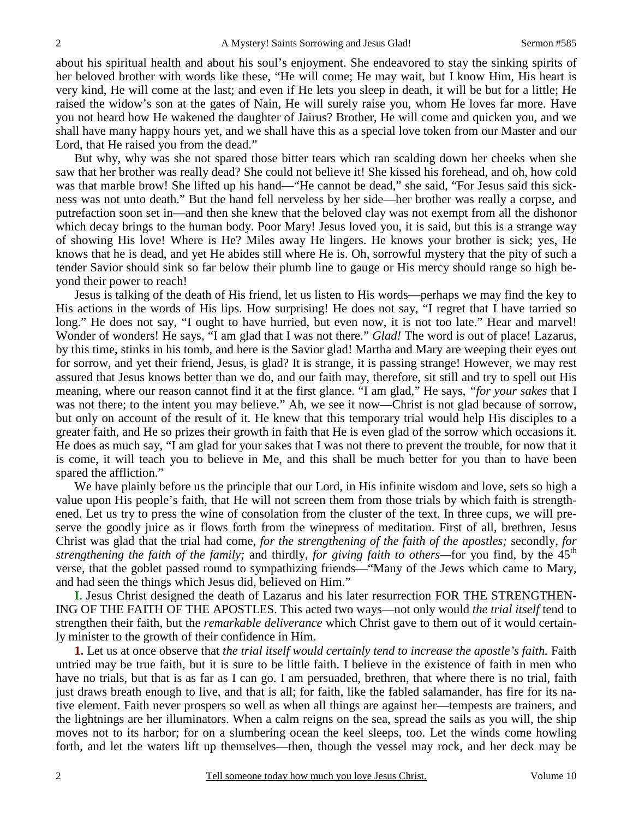about his spiritual health and about his soul's enjoyment. She endeavored to stay the sinking spirits of her beloved brother with words like these, "He will come; He may wait, but I know Him, His heart is very kind, He will come at the last; and even if He lets you sleep in death, it will be but for a little; He raised the widow's son at the gates of Nain, He will surely raise you, whom He loves far more. Have you not heard how He wakened the daughter of Jairus? Brother, He will come and quicken you, and we shall have many happy hours yet, and we shall have this as a special love token from our Master and our Lord, that He raised you from the dead."

But why, why was she not spared those bitter tears which ran scalding down her cheeks when she saw that her brother was really dead? She could not believe it! She kissed his forehead, and oh, how cold was that marble brow! She lifted up his hand—"He cannot be dead," she said, "For Jesus said this sickness was not unto death." But the hand fell nerveless by her side—her brother was really a corpse, and putrefaction soon set in—and then she knew that the beloved clay was not exempt from all the dishonor which decay brings to the human body. Poor Mary! Jesus loved you, it is said, but this is a strange way of showing His love! Where is He? Miles away He lingers. He knows your brother is sick; yes, He knows that he is dead, and yet He abides still where He is. Oh, sorrowful mystery that the pity of such a tender Savior should sink so far below their plumb line to gauge or His mercy should range so high beyond their power to reach!

Jesus is talking of the death of His friend, let us listen to His words—perhaps we may find the key to His actions in the words of His lips. How surprising! He does not say, "I regret that I have tarried so long." He does not say, "I ought to have hurried, but even now, it is not too late." Hear and marvel! Wonder of wonders! He says, "I am glad that I was not there." *Glad!* The word is out of place! Lazarus, by this time, stinks in his tomb, and here is the Savior glad! Martha and Mary are weeping their eyes out for sorrow, and yet their friend, Jesus, is glad? It is strange, it is passing strange! However, we may rest assured that Jesus knows better than we do, and our faith may, therefore, sit still and try to spell out His meaning, where our reason cannot find it at the first glance. "I am glad," He says, *"for your sakes* that I was not there; to the intent you may believe." Ah, we see it now—Christ is not glad because of sorrow, but only on account of the result of it. He knew that this temporary trial would help His disciples to a greater faith, and He so prizes their growth in faith that He is even glad of the sorrow which occasions it. He does as much say, "I am glad for your sakes that I was not there to prevent the trouble, for now that it is come, it will teach you to believe in Me, and this shall be much better for you than to have been spared the affliction."

We have plainly before us the principle that our Lord, in His infinite wisdom and love, sets so high a value upon His people's faith, that He will not screen them from those trials by which faith is strengthened. Let us try to press the wine of consolation from the cluster of the text. In three cups, we will preserve the goodly juice as it flows forth from the winepress of meditation. First of all, brethren, Jesus Christ was glad that the trial had come, *for the strengthening of the faith of the apostles;* secondly, *for strengthening the faith of the family;* and thirdly, *for giving faith to others—for you find*, by the 45<sup>th</sup> verse, that the goblet passed round to sympathizing friends—"Many of the Jews which came to Mary, and had seen the things which Jesus did, believed on Him."

**I.** Jesus Christ designed the death of Lazarus and his later resurrection FOR THE STRENGTHEN-ING OF THE FAITH OF THE APOSTLES. This acted two ways—not only would *the trial itself* tend to strengthen their faith, but the *remarkable deliverance* which Christ gave to them out of it would certainly minister to the growth of their confidence in Him.

**1.** Let us at once observe that *the trial itself would certainly tend to increase the apostle's faith.* Faith untried may be true faith, but it is sure to be little faith. I believe in the existence of faith in men who have no trials, but that is as far as I can go. I am persuaded, brethren, that where there is no trial, faith just draws breath enough to live, and that is all; for faith, like the fabled salamander, has fire for its native element. Faith never prospers so well as when all things are against her—tempests are trainers, and the lightnings are her illuminators. When a calm reigns on the sea, spread the sails as you will, the ship moves not to its harbor; for on a slumbering ocean the keel sleeps, too. Let the winds come howling forth, and let the waters lift up themselves—then, though the vessel may rock, and her deck may be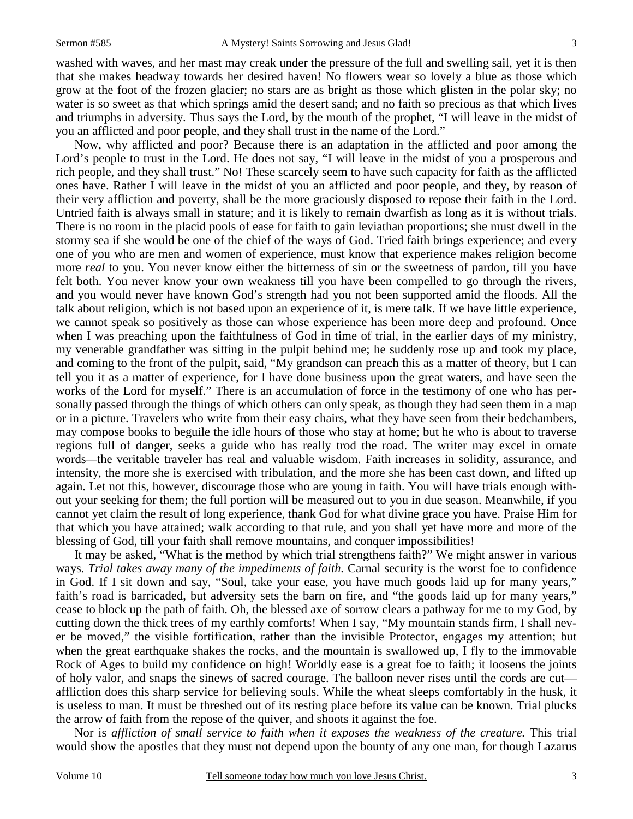washed with waves, and her mast may creak under the pressure of the full and swelling sail, yet it is then that she makes headway towards her desired haven! No flowers wear so lovely a blue as those which grow at the foot of the frozen glacier; no stars are as bright as those which glisten in the polar sky; no water is so sweet as that which springs amid the desert sand; and no faith so precious as that which lives and triumphs in adversity. Thus says the Lord, by the mouth of the prophet, "I will leave in the midst of you an afflicted and poor people, and they shall trust in the name of the Lord."

Now, why afflicted and poor? Because there is an adaptation in the afflicted and poor among the Lord's people to trust in the Lord. He does not say, "I will leave in the midst of you a prosperous and rich people, and they shall trust." No! These scarcely seem to have such capacity for faith as the afflicted ones have. Rather I will leave in the midst of you an afflicted and poor people, and they, by reason of their very affliction and poverty, shall be the more graciously disposed to repose their faith in the Lord. Untried faith is always small in stature; and it is likely to remain dwarfish as long as it is without trials. There is no room in the placid pools of ease for faith to gain leviathan proportions; she must dwell in the stormy sea if she would be one of the chief of the ways of God. Tried faith brings experience; and every one of you who are men and women of experience, must know that experience makes religion become more *real* to you. You never know either the bitterness of sin or the sweetness of pardon, till you have felt both. You never know your own weakness till you have been compelled to go through the rivers, and you would never have known God's strength had you not been supported amid the floods. All the talk about religion, which is not based upon an experience of it, is mere talk. If we have little experience, we cannot speak so positively as those can whose experience has been more deep and profound. Once when I was preaching upon the faithfulness of God in time of trial, in the earlier days of my ministry, my venerable grandfather was sitting in the pulpit behind me; he suddenly rose up and took my place, and coming to the front of the pulpit, said, "My grandson can preach this as a matter of theory, but I can tell you it as a matter of experience, for I have done business upon the great waters, and have seen the works of the Lord for myself." There is an accumulation of force in the testimony of one who has personally passed through the things of which others can only speak, as though they had seen them in a map or in a picture. Travelers who write from their easy chairs, what they have seen from their bedchambers, may compose books to beguile the idle hours of those who stay at home; but he who is about to traverse regions full of danger, seeks a guide who has really trod the road. The writer may excel in ornate words*—*the veritable traveler has real and valuable wisdom. Faith increases in solidity, assurance, and intensity, the more she is exercised with tribulation, and the more she has been cast down, and lifted up again. Let not this, however, discourage those who are young in faith. You will have trials enough without your seeking for them; the full portion will be measured out to you in due season. Meanwhile, if you cannot yet claim the result of long experience, thank God for what divine grace you have. Praise Him for that which you have attained; walk according to that rule, and you shall yet have more and more of the blessing of God, till your faith shall remove mountains, and conquer impossibilities!

It may be asked, "What is the method by which trial strengthens faith?" We might answer in various ways. *Trial takes away many of the impediments of faith.* Carnal security is the worst foe to confidence in God. If I sit down and say, "Soul, take your ease, you have much goods laid up for many years," faith's road is barricaded, but adversity sets the barn on fire, and "the goods laid up for many years," cease to block up the path of faith. Oh, the blessed axe of sorrow clears a pathway for me to my God, by cutting down the thick trees of my earthly comforts! When I say, "My mountain stands firm, I shall never be moved," the visible fortification, rather than the invisible Protector, engages my attention; but when the great earthquake shakes the rocks, and the mountain is swallowed up, I fly to the immovable Rock of Ages to build my confidence on high! Worldly ease is a great foe to faith; it loosens the joints of holy valor, and snaps the sinews of sacred courage. The balloon never rises until the cords are cut affliction does this sharp service for believing souls. While the wheat sleeps comfortably in the husk, it is useless to man. It must be threshed out of its resting place before its value can be known. Trial plucks the arrow of faith from the repose of the quiver, and shoots it against the foe.

Nor is *affliction of small service to faith when it exposes the weakness of the creature.* This trial would show the apostles that they must not depend upon the bounty of any one man, for though Lazarus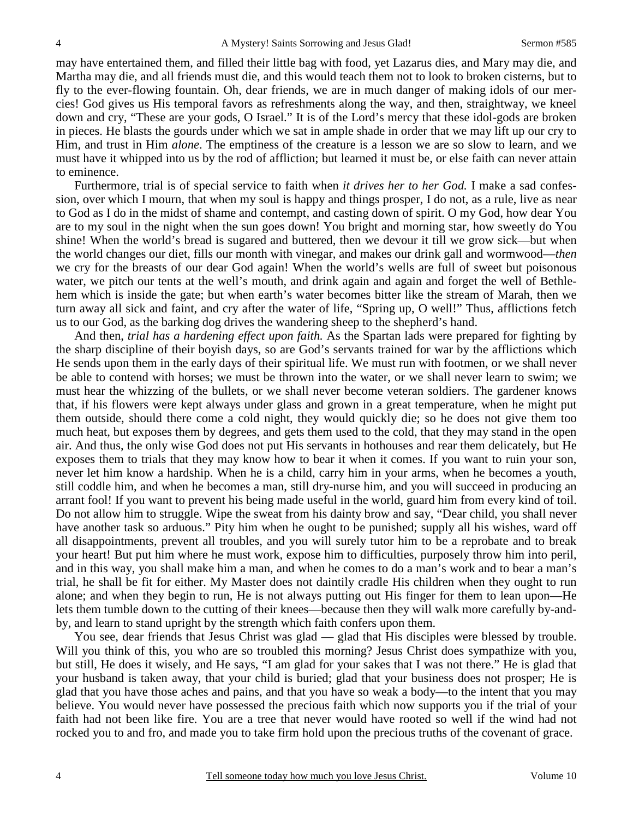may have entertained them, and filled their little bag with food, yet Lazarus dies, and Mary may die, and Martha may die, and all friends must die, and this would teach them not to look to broken cisterns, but to fly to the ever-flowing fountain. Oh, dear friends, we are in much danger of making idols of our mercies! God gives us His temporal favors as refreshments along the way, and then, straightway, we kneel down and cry, "These are your gods, O Israel." It is of the Lord's mercy that these idol-gods are broken in pieces. He blasts the gourds under which we sat in ample shade in order that we may lift up our cry to Him, and trust in Him *alone*. The emptiness of the creature is a lesson we are so slow to learn, and we must have it whipped into us by the rod of affliction; but learned it must be, or else faith can never attain to eminence.

Furthermore, trial is of special service to faith when *it drives her to her God.* I make a sad confession, over which I mourn, that when my soul is happy and things prosper, I do not, as a rule, live as near to God as I do in the midst of shame and contempt, and casting down of spirit. O my God, how dear You are to my soul in the night when the sun goes down! You bright and morning star, how sweetly do You shine! When the world's bread is sugared and buttered, then we devour it till we grow sick—but when the world changes our diet, fills our month with vinegar, and makes our drink gall and wormwood—*then* we cry for the breasts of our dear God again! When the world's wells are full of sweet but poisonous water, we pitch our tents at the well's mouth, and drink again and again and forget the well of Bethlehem which is inside the gate; but when earth's water becomes bitter like the stream of Marah, then we turn away all sick and faint, and cry after the water of life, "Spring up, O well!" Thus, afflictions fetch us to our God, as the barking dog drives the wandering sheep to the shepherd's hand.

And then, *trial has a hardening effect upon faith.* As the Spartan lads were prepared for fighting by the sharp discipline of their boyish days, so are God's servants trained for war by the afflictions which He sends upon them in the early days of their spiritual life. We must run with footmen, or we shall never be able to contend with horses; we must be thrown into the water, or we shall never learn to swim; we must hear the whizzing of the bullets, or we shall never become veteran soldiers. The gardener knows that, if his flowers were kept always under glass and grown in a great temperature, when he might put them outside, should there come a cold night, they would quickly die; so he does not give them too much heat, but exposes them by degrees, and gets them used to the cold, that they may stand in the open air. And thus, the only wise God does not put His servants in hothouses and rear them delicately, but He exposes them to trials that they may know how to bear it when it comes. If you want to ruin your son, never let him know a hardship. When he is a child, carry him in your arms, when he becomes a youth, still coddle him, and when he becomes a man, still dry-nurse him, and you will succeed in producing an arrant fool! If you want to prevent his being made useful in the world, guard him from every kind of toil. Do not allow him to struggle. Wipe the sweat from his dainty brow and say, "Dear child, you shall never have another task so arduous." Pity him when he ought to be punished; supply all his wishes, ward off all disappointments, prevent all troubles, and you will surely tutor him to be a reprobate and to break your heart! But put him where he must work, expose him to difficulties, purposely throw him into peril, and in this way, you shall make him a man, and when he comes to do a man's work and to bear a man's trial, he shall be fit for either. My Master does not daintily cradle His children when they ought to run alone; and when they begin to run, He is not always putting out His finger for them to lean upon—He lets them tumble down to the cutting of their knees—because then they will walk more carefully by-andby, and learn to stand upright by the strength which faith confers upon them.

You see, dear friends that Jesus Christ was glad — glad that His disciples were blessed by trouble. Will you think of this, you who are so troubled this morning? Jesus Christ does sympathize with you, but still, He does it wisely, and He says, "I am glad for your sakes that I was not there." He is glad that your husband is taken away, that your child is buried; glad that your business does not prosper; He is glad that you have those aches and pains, and that you have so weak a body—to the intent that you may believe. You would never have possessed the precious faith which now supports you if the trial of your faith had not been like fire. You are a tree that never would have rooted so well if the wind had not rocked you to and fro, and made you to take firm hold upon the precious truths of the covenant of grace.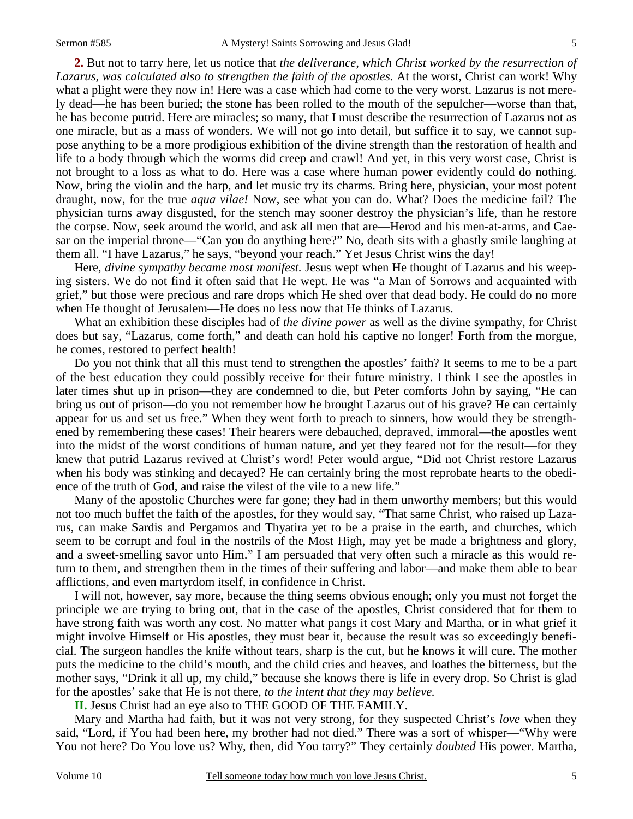**2.** But not to tarry here, let us notice that *the deliverance, which Christ worked by the resurrection of Lazarus, was calculated also to strengthen the faith of the apostles.* At the worst, Christ can work! Why what a plight were they now in! Here was a case which had come to the very worst. Lazarus is not merely dead—he has been buried; the stone has been rolled to the mouth of the sepulcher—worse than that, he has become putrid. Here are miracles; so many, that I must describe the resurrection of Lazarus not as one miracle, but as a mass of wonders. We will not go into detail, but suffice it to say, we cannot suppose anything to be a more prodigious exhibition of the divine strength than the restoration of health and life to a body through which the worms did creep and crawl! And yet, in this very worst case, Christ is not brought to a loss as what to do. Here was a case where human power evidently could do nothing. Now, bring the violin and the harp, and let music try its charms. Bring here, physician, your most potent draught, now, for the true *aqua vilae!* Now, see what you can do. What? Does the medicine fail? The physician turns away disgusted, for the stench may sooner destroy the physician's life, than he restore the corpse. Now, seek around the world, and ask all men that are—Herod and his men-at-arms, and Caesar on the imperial throne—"Can you do anything here?" No, death sits with a ghastly smile laughing at them all. "I have Lazarus," he says, "beyond your reach." Yet Jesus Christ wins the day!

Here, *divine sympathy became most manifest.* Jesus wept when He thought of Lazarus and his weeping sisters. We do not find it often said that He wept. He was "a Man of Sorrows and acquainted with grief," but those were precious and rare drops which He shed over that dead body. He could do no more when He thought of Jerusalem—He does no less now that He thinks of Lazarus.

What an exhibition these disciples had of *the divine power* as well as the divine sympathy, for Christ does but say, "Lazarus, come forth," and death can hold his captive no longer! Forth from the morgue, he comes, restored to perfect health!

Do you not think that all this must tend to strengthen the apostles' faith? It seems to me to be a part of the best education they could possibly receive for their future ministry. I think I see the apostles in later times shut up in prison—they are condemned to die, but Peter comforts John by saying, "He can bring us out of prison—do you not remember how he brought Lazarus out of his grave? He can certainly appear for us and set us free." When they went forth to preach to sinners, how would they be strengthened by remembering these cases! Their hearers were debauched, depraved, immoral—the apostles went into the midst of the worst conditions of human nature, and yet they feared not for the result—for they knew that putrid Lazarus revived at Christ's word! Peter would argue, "Did not Christ restore Lazarus when his body was stinking and decayed? He can certainly bring the most reprobate hearts to the obedience of the truth of God, and raise the vilest of the vile to a new life."

Many of the apostolic Churches were far gone; they had in them unworthy members; but this would not too much buffet the faith of the apostles, for they would say, "That same Christ, who raised up Lazarus, can make Sardis and Pergamos and Thyatira yet to be a praise in the earth, and churches, which seem to be corrupt and foul in the nostrils of the Most High, may yet be made a brightness and glory, and a sweet-smelling savor unto Him." I am persuaded that very often such a miracle as this would return to them, and strengthen them in the times of their suffering and labor—and make them able to bear afflictions, and even martyrdom itself, in confidence in Christ.

I will not, however, say more, because the thing seems obvious enough; only you must not forget the principle we are trying to bring out, that in the case of the apostles, Christ considered that for them to have strong faith was worth any cost. No matter what pangs it cost Mary and Martha, or in what grief it might involve Himself or His apostles, they must bear it, because the result was so exceedingly beneficial. The surgeon handles the knife without tears, sharp is the cut, but he knows it will cure. The mother puts the medicine to the child's mouth, and the child cries and heaves, and loathes the bitterness, but the mother says, "Drink it all up, my child," because she knows there is life in every drop. So Christ is glad for the apostles' sake that He is not there, *to the intent that they may believe.*

**II.** Jesus Christ had an eye also to THE GOOD OF THE FAMILY.

Mary and Martha had faith, but it was not very strong, for they suspected Christ's *love* when they said, "Lord, if You had been here, my brother had not died." There was a sort of whisper—"Why were You not here? Do You love us? Why, then, did You tarry?" They certainly *doubted* His power. Martha,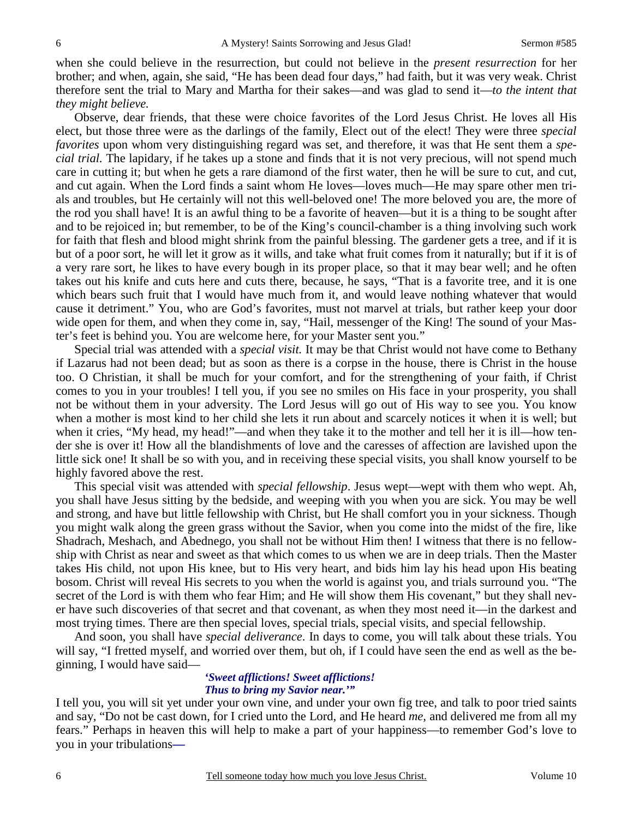when she could believe in the resurrection, but could not believe in the *present resurrection* for her brother; and when, again, she said, "He has been dead four days," had faith, but it was very weak. Christ therefore sent the trial to Mary and Martha for their sakes—and was glad to send it—*to the intent that they might believe.*

Observe, dear friends, that these were choice favorites of the Lord Jesus Christ. He loves all His elect, but those three were as the darlings of the family, Elect out of the elect! They were three *special favorites* upon whom very distinguishing regard was set, and therefore, it was that He sent them a *special trial.* The lapidary, if he takes up a stone and finds that it is not very precious, will not spend much care in cutting it; but when he gets a rare diamond of the first water, then he will be sure to cut, and cut, and cut again. When the Lord finds a saint whom He loves—loves much—He may spare other men trials and troubles, but He certainly will not this well-beloved one! The more beloved you are, the more of the rod you shall have! It is an awful thing to be a favorite of heaven—but it is a thing to be sought after and to be rejoiced in; but remember, to be of the King's council-chamber is a thing involving such work for faith that flesh and blood might shrink from the painful blessing. The gardener gets a tree, and if it is but of a poor sort, he will let it grow as it wills, and take what fruit comes from it naturally; but if it is of a very rare sort, he likes to have every bough in its proper place, so that it may bear well; and he often takes out his knife and cuts here and cuts there, because, he says, "That is a favorite tree, and it is one which bears such fruit that I would have much from it, and would leave nothing whatever that would cause it detriment." You, who are God's favorites, must not marvel at trials, but rather keep your door wide open for them, and when they come in, say, "Hail, messenger of the King! The sound of your Master's feet is behind you. You are welcome here, for your Master sent you."

Special trial was attended with a *special visit.* It may be that Christ would not have come to Bethany if Lazarus had not been dead; but as soon as there is a corpse in the house, there is Christ in the house too. O Christian, it shall be much for your comfort, and for the strengthening of your faith, if Christ comes to you in your troubles! I tell you, if you see no smiles on His face in your prosperity, you shall not be without them in your adversity. The Lord Jesus will go out of His way to see you. You know when a mother is most kind to her child she lets it run about and scarcely notices it when it is well; but when it cries, "My head, my head!"—and when they take it to the mother and tell her it is ill—how tender she is over it! How all the blandishments of love and the caresses of affection are lavished upon the little sick one! It shall be so with you, and in receiving these special visits, you shall know yourself to be highly favored above the rest.

This special visit was attended with *special fellowship*. Jesus wept—wept with them who wept. Ah, you shall have Jesus sitting by the bedside, and weeping with you when you are sick. You may be well and strong, and have but little fellowship with Christ, but He shall comfort you in your sickness. Though you might walk along the green grass without the Savior, when you come into the midst of the fire, like Shadrach, Meshach, and Abednego, you shall not be without Him then! I witness that there is no fellowship with Christ as near and sweet as that which comes to us when we are in deep trials. Then the Master takes His child, not upon His knee, but to His very heart, and bids him lay his head upon His beating bosom. Christ will reveal His secrets to you when the world is against you, and trials surround you. "The secret of the Lord is with them who fear Him; and He will show them His covenant," but they shall never have such discoveries of that secret and that covenant, as when they most need it—in the darkest and most trying times. There are then special loves, special trials, special visits, and special fellowship.

And soon, you shall have *special deliverance*. In days to come, you will talk about these trials. You will say, "I fretted myself, and worried over them, but oh, if I could have seen the end as well as the beginning, I would have said—

#### *'Sweet afflictions! Sweet afflictions! Thus to bring my Savior near.'"*

I tell you, you will sit yet under your own vine, and under your own fig tree, and talk to poor tried saints and say, "Do not be cast down, for I cried unto the Lord, and He heard *me,* and delivered me from all my fears." Perhaps in heaven this will help to make a part of your happiness—to remember God's love to you in your tribulations*—*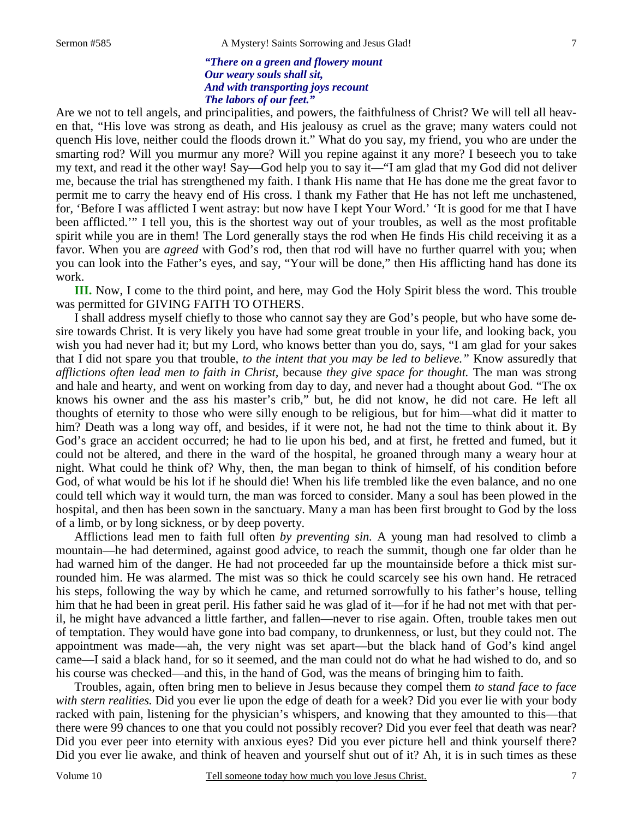*"There on a green and flowery mount Our weary souls shall sit, And with transporting joys recount The labors of our feet."* 

Are we not to tell angels, and principalities, and powers, the faithfulness of Christ? We will tell all heaven that, "His love was strong as death, and His jealousy as cruel as the grave; many waters could not quench His love, neither could the floods drown it." What do you say, my friend, you who are under the smarting rod? Will you murmur any more? Will you repine against it any more? I beseech you to take my text, and read it the other way! Say—God help you to say it—"I am glad that my God did not deliver me, because the trial has strengthened my faith. I thank His name that He has done me the great favor to permit me to carry the heavy end of His cross. I thank my Father that He has not left me unchastened, for, 'Before I was afflicted I went astray: but now have I kept Your Word.' 'It is good for me that I have been afflicted.'" I tell you, this is the shortest way out of your troubles, as well as the most profitable spirit while you are in them! The Lord generally stays the rod when He finds His child receiving it as a favor. When you are *agreed* with God's rod, then that rod will have no further quarrel with you; when you can look into the Father's eyes, and say, "Your will be done," then His afflicting hand has done its work.

**III.** Now, I come to the third point, and here, may God the Holy Spirit bless the word. This trouble was permitted for GIVING FAITH TO OTHERS.

I shall address myself chiefly to those who cannot say they are God's people, but who have some desire towards Christ. It is very likely you have had some great trouble in your life, and looking back, you wish you had never had it; but my Lord, who knows better than you do, says, "I am glad for your sakes that I did not spare you that trouble, *to the intent that you may be led to believe."* Know assuredly that *afflictions often lead men to faith in Christ,* because *they give space for thought.* The man was strong and hale and hearty, and went on working from day to day, and never had a thought about God. "The ox knows his owner and the ass his master's crib," but, he did not know, he did not care. He left all thoughts of eternity to those who were silly enough to be religious, but for him—what did it matter to him? Death was a long way off, and besides, if it were not, he had not the time to think about it. By God's grace an accident occurred; he had to lie upon his bed, and at first, he fretted and fumed, but it could not be altered, and there in the ward of the hospital, he groaned through many a weary hour at night. What could he think of? Why, then, the man began to think of himself, of his condition before God, of what would be his lot if he should die! When his life trembled like the even balance, and no one could tell which way it would turn, the man was forced to consider. Many a soul has been plowed in the hospital, and then has been sown in the sanctuary. Many a man has been first brought to God by the loss of a limb, or by long sickness, or by deep poverty.

Afflictions lead men to faith full often *by preventing sin.* A young man had resolved to climb a mountain—he had determined, against good advice, to reach the summit, though one far older than he had warned him of the danger. He had not proceeded far up the mountainside before a thick mist surrounded him. He was alarmed. The mist was so thick he could scarcely see his own hand. He retraced his steps, following the way by which he came, and returned sorrowfully to his father's house, telling him that he had been in great peril. His father said he was glad of it—for if he had not met with that peril, he might have advanced a little farther, and fallen—never to rise again. Often, trouble takes men out of temptation. They would have gone into bad company, to drunkenness, or lust, but they could not. The appointment was made—ah, the very night was set apart—but the black hand of God's kind angel came—I said a black hand, for so it seemed, and the man could not do what he had wished to do, and so his course was checked—and this, in the hand of God, was the means of bringing him to faith.

Troubles, again, often bring men to believe in Jesus because they compel them *to stand face to face with stern realities.* Did you ever lie upon the edge of death for a week? Did you ever lie with your body racked with pain, listening for the physician's whispers, and knowing that they amounted to this—that there were 99 chances to one that you could not possibly recover? Did you ever feel that death was near? Did you ever peer into eternity with anxious eyes? Did you ever picture hell and think yourself there? Did you ever lie awake, and think of heaven and yourself shut out of it? Ah, it is in such times as these